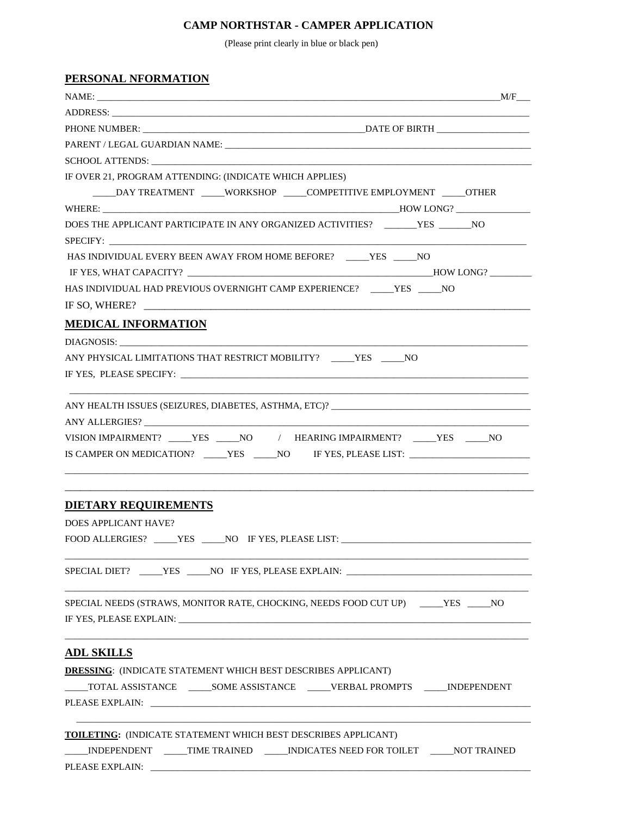## **CAMP NORTHSTAR - CAMPER APPLICATION**

(Please print clearly in blue or black pen)

| SCHOOL ATTENDS: New York SCHOOL ATTENDS:                                                                                                                    |  |
|-------------------------------------------------------------------------------------------------------------------------------------------------------------|--|
| IF OVER 21, PROGRAM ATTENDING: (INDICATE WHICH APPLIES)                                                                                                     |  |
| _____DAY TREATMENT _____WORKSHOP _____COMPETITIVE EMPLOYMENT _____OTHER                                                                                     |  |
|                                                                                                                                                             |  |
| DOES THE APPLICANT PARTICIPATE IN ANY ORGANIZED ACTIVITIES? ______YES ______NO                                                                              |  |
|                                                                                                                                                             |  |
| HAS INDIVIDUAL EVERY BEEN AWAY FROM HOME BEFORE? _____YES _____NO                                                                                           |  |
|                                                                                                                                                             |  |
| HAS INDIVIDUAL HAD PREVIOUS OVERNIGHT CAMP EXPERIENCE? _____YES _____NO                                                                                     |  |
| IF SO, WHERE?                                                                                                                                               |  |
| <b>MEDICAL INFORMATION</b>                                                                                                                                  |  |
|                                                                                                                                                             |  |
| ANY PHYSICAL LIMITATIONS THAT RESTRICT MOBILITY? YES NO                                                                                                     |  |
|                                                                                                                                                             |  |
| VISION IMPAIRMENT? ____YES ____NO / HEARING IMPAIRMENT? ____YES ____NO<br>IS CAMPER ON MEDICATION? _____YES _____NO IF YES, PLEASE LIST: __________________ |  |
| <b>DIETARY REQUIREMENTS</b><br><b>DOES APPLICANT HAVE?</b><br>FOOD ALLERGIES? _____YES _____NO IF YES, PLEASE LIST: ___________________________             |  |
|                                                                                                                                                             |  |
| SPECIAL DIET? _____YES _____NO IF YES, PLEASE EXPLAIN: __________________________                                                                           |  |
| SPECIAL NEEDS (STRAWS, MONITOR RATE, CHOCKING, NEEDS FOOD CUT UP) _____YES _____NO                                                                          |  |
|                                                                                                                                                             |  |
| <b>ADL SKILLS</b>                                                                                                                                           |  |
| <b>DRESSING: (INDICATE STATEMENT WHICH BEST DESCRIBES APPLICANT)</b>                                                                                        |  |
| _____TOTAL ASSISTANCE _______SOME ASSISTANCE ______VERBAL PROMPTS ______INDEPENDENT                                                                         |  |
|                                                                                                                                                             |  |
|                                                                                                                                                             |  |
| <b>TOILETING:</b> (INDICATE STATEMENT WHICH BEST DESCRIBES APPLICANT)                                                                                       |  |
| _INDEPENDENT _____TIME TRAINED ______INDICATES NEED FOR TOILET ______NOT TRAINED                                                                            |  |
|                                                                                                                                                             |  |